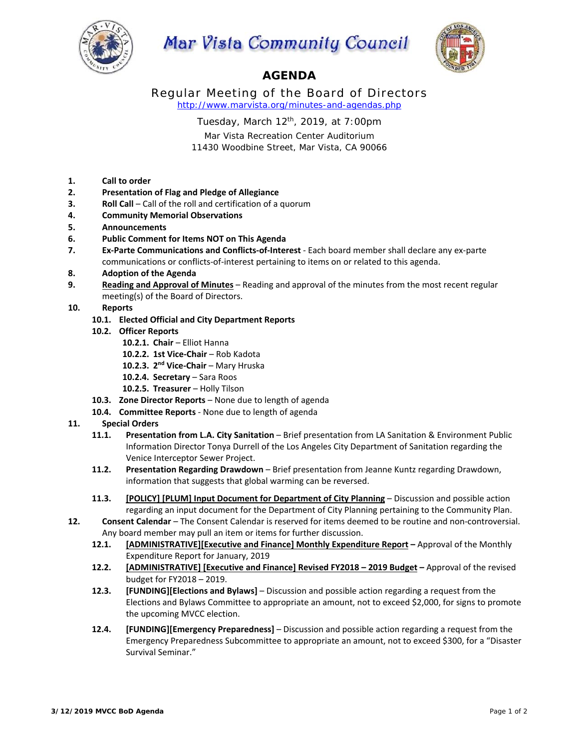

Mar Vista Community Council



# **AGENDA**

Regular Meeting of the Board of Directors *http://www.marvista.org/minutes-and-agendas.php* 

Tuesday, March  $12<sup>th</sup>$ , 2019, at 7:00pm

Mar Vista Recreation Center Auditorium 11430 Woodbine Street, Mar Vista, CA 90066

- **1. Call to order**
- **2. Presentation of Flag and Pledge of Allegiance**
- **3. Roll Call** Call of the roll and certification of a quorum
- **4. Community Memorial Observations**
- **5. Announcements**
- **6. Public Comment for Items NOT on This Agenda**
- **7. Ex‐Parte Communications and Conflicts‐of‐Interest** ‐ Each board member shall declare any ex‐parte communications or conflicts‐of‐interest pertaining to items on or related to this agenda.
- **8. Adoption of the Agenda**
- **9. Reading and Approval of Minutes** Reading and approval of the minutes from the most recent regular meeting(s) of the Board of Directors.
- **10. Reports** 
	- **10.1. Elected Official and City Department Reports**
	- **10.2. Officer Reports** 
		- **10.2.1. Chair**  Elliot Hanna
		- **10.2.2. 1st Vice‐Chair**  Rob Kadota
		- 10.2.3. 2<sup>nd</sup> Vice-Chair Mary Hruska
		- 10.2.4. **Secretary** Sara Roos
		- **10.2.5. Treasurer**  Holly Tilson
	- **10.3. Zone Director Reports**  None due to length of agenda
	- **10.4. Committee Reports** ‐ None due to length of agenda

## **11. Special Orders**

- **11.1. Presentation from L.A. City Sanitation Brief presentation from LA Sanitation & Environment Public** Information Director Tonya Durrell of the Los Angeles City Department of Sanitation regarding the Venice Interceptor Sewer Project.
- **11.2. Presentation Regarding Drawdown**  Brief presentation from Jeanne Kuntz regarding Drawdown, information that suggests that global warming can be reversed.
- **11.3. [POLICY] [PLUM] Input Document for Department of City Planning**  Discussion and possible action regarding an input document for the Department of City Planning pertaining to the Community Plan.
- **12. Consent Calendar**  The Consent Calendar is reserved for items deemed to be routine and non‐controversial. Any board member may pull an item or items for further discussion.
	- **12.1. [ADMINISTRATIVE][Executive and Finance] Monthly Expenditure Report** Approval of the Monthly Expenditure Report for January, 2019
	- **12.2. [ADMINISTRATIVE] [Executive and Finance] Revised FY2018 2019 Budget** Approval of the revised budget for FY2018 – 2019.
	- **12.3. [FUNDING][Elections and Bylaws]**  Discussion and possible action regarding a request from the Elections and Bylaws Committee to appropriate an amount, not to exceed \$2,000, for signs to promote the upcoming MVCC election.
	- **12.4. [FUNDING][Emergency Preparedness]**  Discussion and possible action regarding a request from the Emergency Preparedness Subcommittee to appropriate an amount, not to exceed \$300, for a "Disaster Survival Seminar."